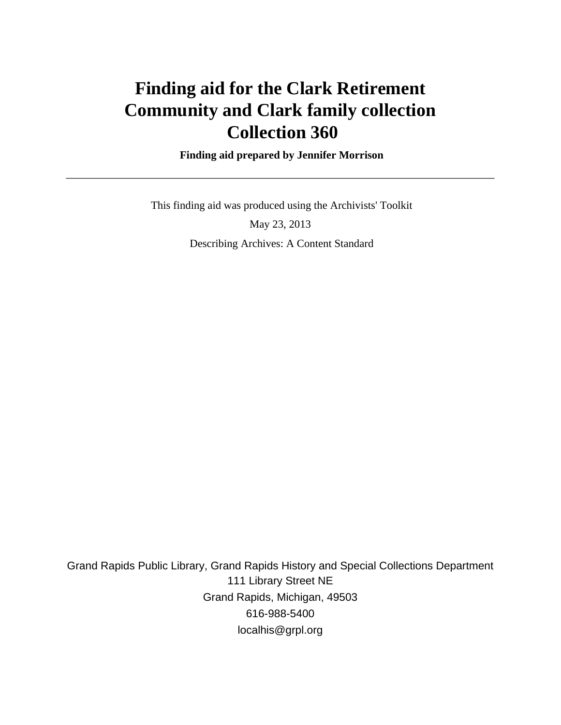# **Finding aid for the Clark Retirement Community and Clark family collection Collection 360**

 **Finding aid prepared by Jennifer Morrison**

 This finding aid was produced using the Archivists' Toolkit May 23, 2013

Describing Archives: A Content Standard

Grand Rapids Public Library, Grand Rapids History and Special Collections Department 111 Library Street NE Grand Rapids, Michigan, 49503 616-988-5400 localhis@grpl.org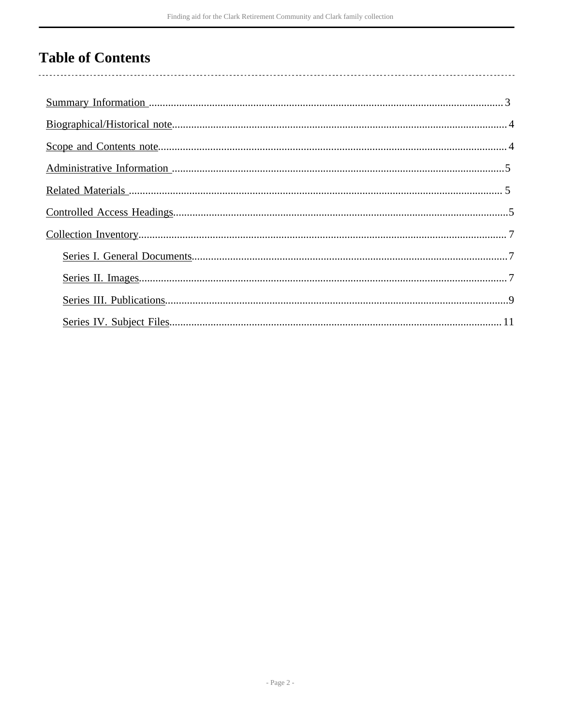# **Table of Contents**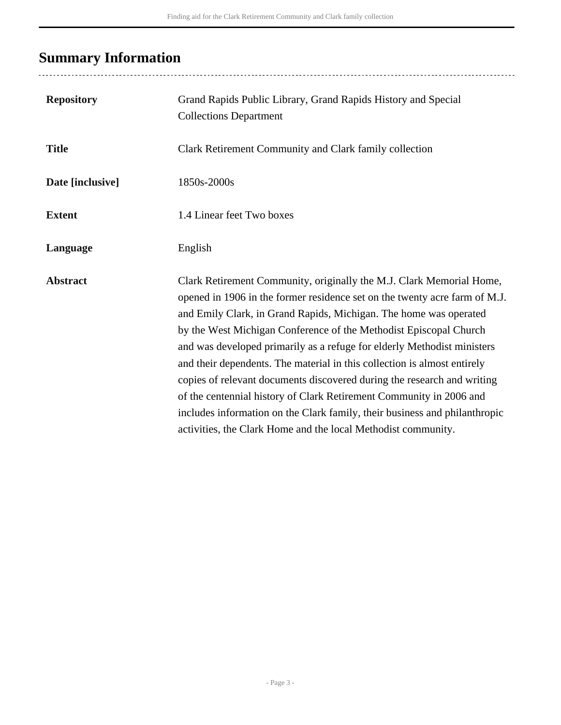# <span id="page-2-0"></span>**Summary Information**

| <b>Repository</b> | Grand Rapids Public Library, Grand Rapids History and Special<br><b>Collections Department</b>                                                                                                                                                                                                                                                                                                                                                                                                                                                                                                                                                                                                                                                       |
|-------------------|------------------------------------------------------------------------------------------------------------------------------------------------------------------------------------------------------------------------------------------------------------------------------------------------------------------------------------------------------------------------------------------------------------------------------------------------------------------------------------------------------------------------------------------------------------------------------------------------------------------------------------------------------------------------------------------------------------------------------------------------------|
| <b>Title</b>      | Clark Retirement Community and Clark family collection                                                                                                                                                                                                                                                                                                                                                                                                                                                                                                                                                                                                                                                                                               |
| Date [inclusive]  | 1850s-2000s                                                                                                                                                                                                                                                                                                                                                                                                                                                                                                                                                                                                                                                                                                                                          |
| <b>Extent</b>     | 1.4 Linear feet Two boxes                                                                                                                                                                                                                                                                                                                                                                                                                                                                                                                                                                                                                                                                                                                            |
| Language          | English                                                                                                                                                                                                                                                                                                                                                                                                                                                                                                                                                                                                                                                                                                                                              |
| <b>Abstract</b>   | Clark Retirement Community, originally the M.J. Clark Memorial Home,<br>opened in 1906 in the former residence set on the twenty acre farm of M.J.<br>and Emily Clark, in Grand Rapids, Michigan. The home was operated<br>by the West Michigan Conference of the Methodist Episcopal Church<br>and was developed primarily as a refuge for elderly Methodist ministers<br>and their dependents. The material in this collection is almost entirely<br>copies of relevant documents discovered during the research and writing<br>of the centennial history of Clark Retirement Community in 2006 and<br>includes information on the Clark family, their business and philanthropic<br>activities, the Clark Home and the local Methodist community. |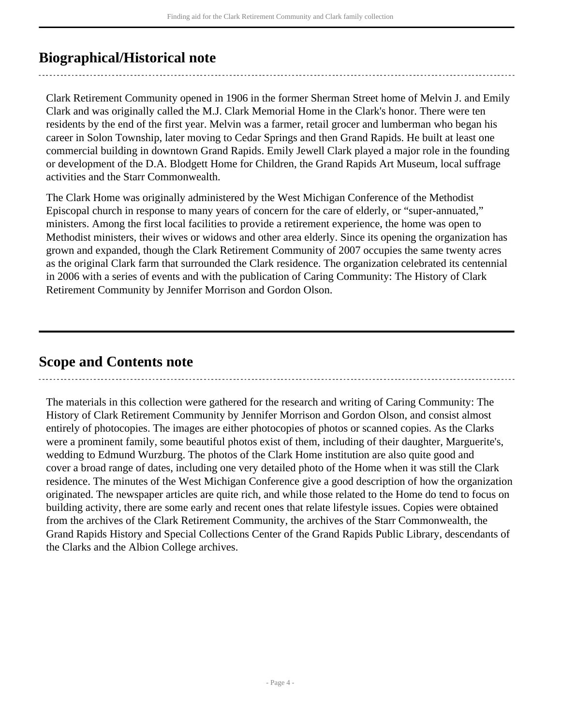# <span id="page-3-0"></span>**Biographical/Historical note**

Clark Retirement Community opened in 1906 in the former Sherman Street home of Melvin J. and Emily Clark and was originally called the M.J. Clark Memorial Home in the Clark's honor. There were ten residents by the end of the first year. Melvin was a farmer, retail grocer and lumberman who began his career in Solon Township, later moving to Cedar Springs and then Grand Rapids. He built at least one commercial building in downtown Grand Rapids. Emily Jewell Clark played a major role in the founding or development of the D.A. Blodgett Home for Children, the Grand Rapids Art Museum, local suffrage activities and the Starr Commonwealth.

The Clark Home was originally administered by the West Michigan Conference of the Methodist Episcopal church in response to many years of concern for the care of elderly, or "super-annuated," ministers. Among the first local facilities to provide a retirement experience, the home was open to Methodist ministers, their wives or widows and other area elderly. Since its opening the organization has grown and expanded, though the Clark Retirement Community of 2007 occupies the same twenty acres as the original Clark farm that surrounded the Clark residence. The organization celebrated its centennial in 2006 with a series of events and with the publication of Caring Community: The History of Clark Retirement Community by Jennifer Morrison and Gordon Olson.

# <span id="page-3-1"></span>**Scope and Contents note**

The materials in this collection were gathered for the research and writing of Caring Community: The History of Clark Retirement Community by Jennifer Morrison and Gordon Olson, and consist almost entirely of photocopies. The images are either photocopies of photos or scanned copies. As the Clarks were a prominent family, some beautiful photos exist of them, including of their daughter, Marguerite's, wedding to Edmund Wurzburg. The photos of the Clark Home institution are also quite good and cover a broad range of dates, including one very detailed photo of the Home when it was still the Clark residence. The minutes of the West Michigan Conference give a good description of how the organization originated. The newspaper articles are quite rich, and while those related to the Home do tend to focus on building activity, there are some early and recent ones that relate lifestyle issues. Copies were obtained from the archives of the Clark Retirement Community, the archives of the Starr Commonwealth, the Grand Rapids History and Special Collections Center of the Grand Rapids Public Library, descendants of the Clarks and the Albion College archives.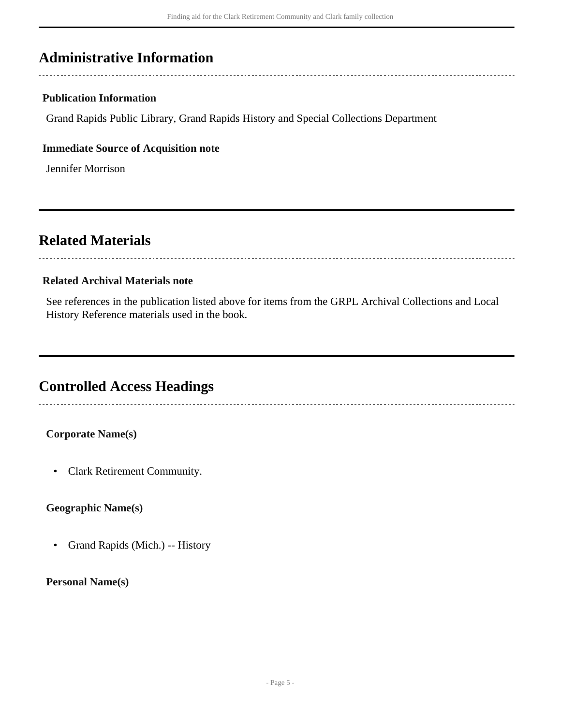# <span id="page-4-0"></span>**Administrative Information**

## **Publication Information**

Grand Rapids Public Library, Grand Rapids History and Special Collections Department

### **Immediate Source of Acquisition note**

Jennifer Morrison

# <span id="page-4-1"></span>**Related Materials**

### **Related Archival Materials note**

See references in the publication listed above for items from the GRPL Archival Collections and Local History Reference materials used in the book.

# <span id="page-4-2"></span>**Controlled Access Headings**

## **Corporate Name(s)**

• Clark Retirement Community.

## **Geographic Name(s)**

• Grand Rapids (Mich.) -- History

### **Personal Name(s)**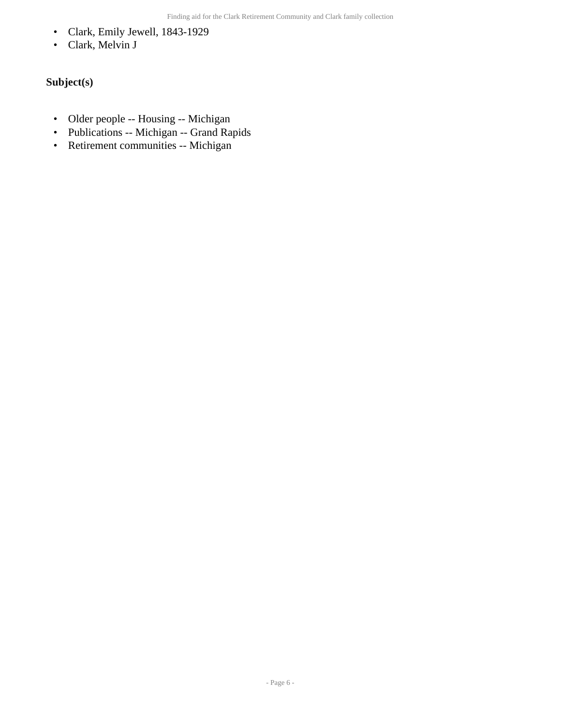- Clark, Emily Jewell, 1843-1929
- Clark, Melvin J

## **Subject(s)**

- Older people -- Housing -- Michigan
- Publications -- Michigan -- Grand Rapids
- Retirement communities -- Michigan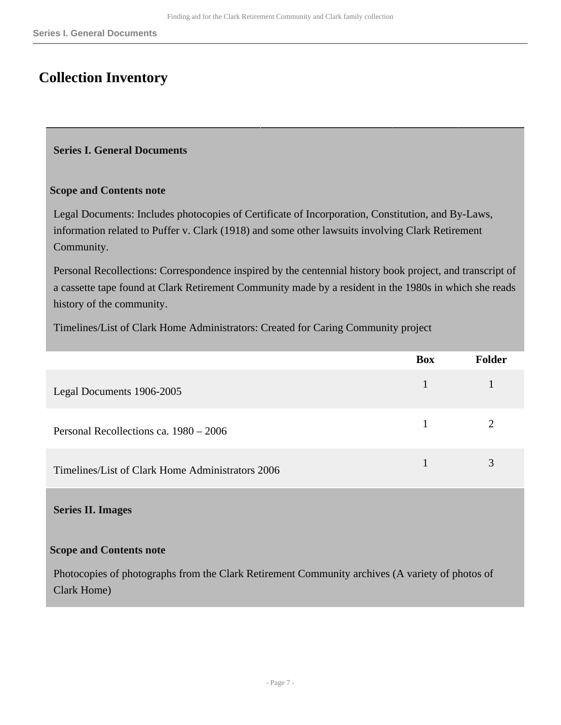# <span id="page-6-0"></span>**Collection Inventory**

### <span id="page-6-1"></span>**Series I. General Documents**

### **Scope and Contents note**

Legal Documents: Includes photocopies of Certificate of Incorporation, Constitution, and By-Laws, information related to Puffer v. Clark (1918) and some other lawsuits involving Clark Retirement Community.

Personal Recollections: Correspondence inspired by the centennial history book project, and transcript of a cassette tape found at Clark Retirement Community made by a resident in the 1980s in which she reads history of the community.

Timelines/List of Clark Home Administrators: Created for Caring Community project

|                                                  | <b>Box</b> | <b>Folder</b> |
|--------------------------------------------------|------------|---------------|
| Legal Documents 1906-2005                        |            |               |
| Personal Recollections ca. 1980 – 2006           |            |               |
| Timelines/List of Clark Home Administrators 2006 |            |               |

### <span id="page-6-2"></span>**Series II. Images**

### **Scope and Contents note**

Photocopies of photographs from the Clark Retirement Community archives (A variety of photos of Clark Home)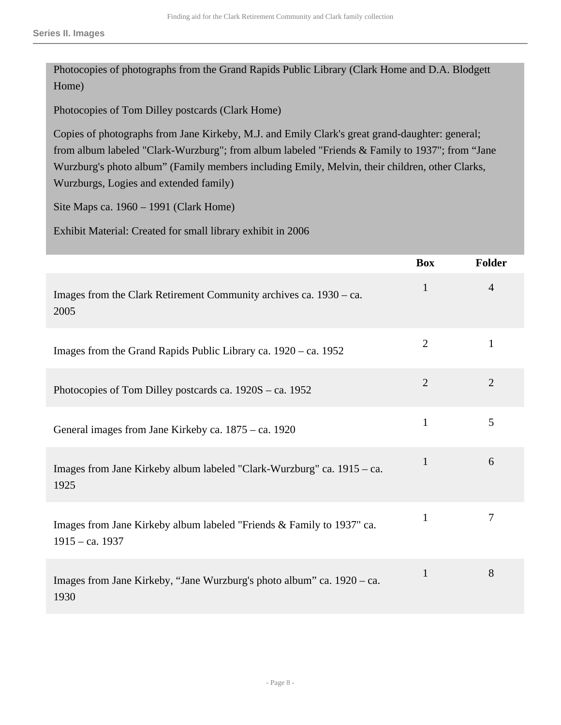Photocopies of photographs from the Grand Rapids Public Library (Clark Home and D.A. Blodgett Home)

Photocopies of Tom Dilley postcards (Clark Home)

Copies of photographs from Jane Kirkeby, M.J. and Emily Clark's great grand-daughter: general; from album labeled "Clark-Wurzburg"; from album labeled "Friends & Family to 1937"; from "Jane Wurzburg's photo album" (Family members including Emily, Melvin, their children, other Clarks, Wurzburgs, Logies and extended family)

Site Maps ca. 1960 – 1991 (Clark Home)

Exhibit Material: Created for small library exhibit in 2006

|                                                                                            | <b>Box</b>     | Folder         |
|--------------------------------------------------------------------------------------------|----------------|----------------|
| Images from the Clark Retirement Community archives ca. 1930 – ca.<br>2005                 | $\mathbf{1}$   | $\overline{4}$ |
| Images from the Grand Rapids Public Library ca. 1920 – ca. 1952                            | $\overline{2}$ | $\mathbf{1}$   |
| Photocopies of Tom Dilley postcards ca. 1920S – ca. 1952                                   | $\overline{2}$ | $\overline{2}$ |
| General images from Jane Kirkeby ca. 1875 – ca. 1920                                       | $\mathbf{1}$   | 5              |
| Images from Jane Kirkeby album labeled "Clark-Wurzburg" ca. 1915 – ca.<br>1925             | 1              | 6              |
| Images from Jane Kirkeby album labeled "Friends & Family to 1937" ca.<br>$1915 - ca. 1937$ | 1              | 7              |
| Images from Jane Kirkeby, "Jane Wurzburg's photo album" ca. 1920 - ca.<br>1930             | 1              | 8              |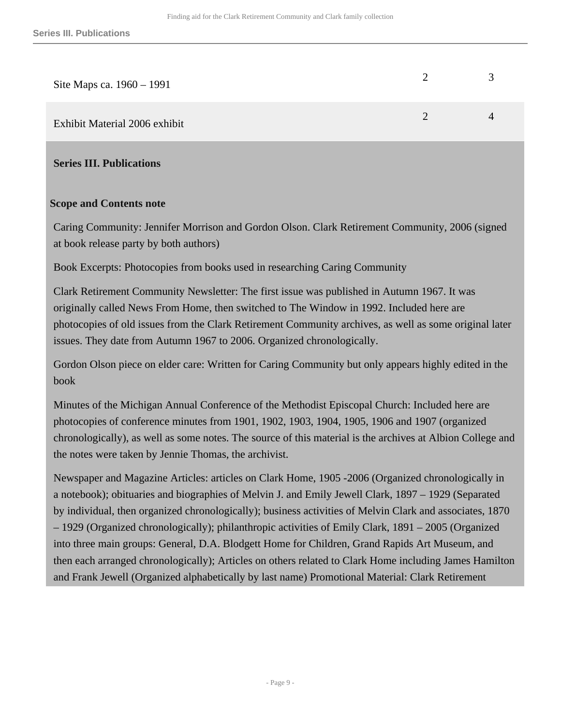| Site Maps ca. 1960 – 1991     | $\blacktriangleleft$ |
|-------------------------------|----------------------|
| Exhibit Material 2006 exhibit | $\Delta$             |

<span id="page-8-0"></span>**Series III. Publications** 

#### **Scope and Contents note**

Caring Community: Jennifer Morrison and Gordon Olson. Clark Retirement Community, 2006 (signed at book release party by both authors)

Book Excerpts: Photocopies from books used in researching Caring Community

Clark Retirement Community Newsletter: The first issue was published in Autumn 1967. It was originally called News From Home, then switched to The Window in 1992. Included here are photocopies of old issues from the Clark Retirement Community archives, as well as some original later issues. They date from Autumn 1967 to 2006. Organized chronologically.

Gordon Olson piece on elder care: Written for Caring Community but only appears highly edited in the book

Minutes of the Michigan Annual Conference of the Methodist Episcopal Church: Included here are photocopies of conference minutes from 1901, 1902, 1903, 1904, 1905, 1906 and 1907 (organized chronologically), as well as some notes. The source of this material is the archives at Albion College and the notes were taken by Jennie Thomas, the archivist.

Newspaper and Magazine Articles: articles on Clark Home, 1905 -2006 (Organized chronologically in a notebook); obituaries and biographies of Melvin J. and Emily Jewell Clark, 1897 – 1929 (Separated by individual, then organized chronologically); business activities of Melvin Clark and associates, 1870 – 1929 (Organized chronologically); philanthropic activities of Emily Clark, 1891 – 2005 (Organized into three main groups: General, D.A. Blodgett Home for Children, Grand Rapids Art Museum, and then each arranged chronologically); Articles on others related to Clark Home including James Hamilton and Frank Jewell (Organized alphabetically by last name) Promotional Material: Clark Retirement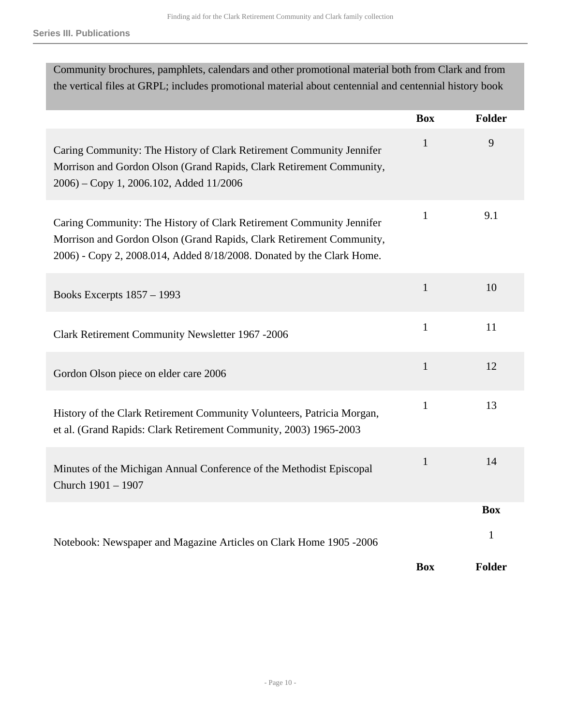| Community brochures, pamphlets, calendars and other promotional material both from Clark and from                                                                                                                     |              |               |
|-----------------------------------------------------------------------------------------------------------------------------------------------------------------------------------------------------------------------|--------------|---------------|
| the vertical files at GRPL; includes promotional material about centennial and centennial history book                                                                                                                |              |               |
|                                                                                                                                                                                                                       | <b>Box</b>   | <b>Folder</b> |
| Caring Community: The History of Clark Retirement Community Jennifer<br>Morrison and Gordon Olson (Grand Rapids, Clark Retirement Community,<br>2006) – Copy 1, 2006.102, Added 11/2006                               | $\mathbf{1}$ | 9             |
| Caring Community: The History of Clark Retirement Community Jennifer<br>Morrison and Gordon Olson (Grand Rapids, Clark Retirement Community,<br>2006) - Copy 2, 2008.014, Added 8/18/2008. Donated by the Clark Home. | $\mathbf{1}$ | 9.1           |
| Books Excerpts 1857 - 1993                                                                                                                                                                                            | $\mathbf{1}$ | 10            |
| Clark Retirement Community Newsletter 1967 -2006                                                                                                                                                                      | $\mathbf{1}$ | 11            |
| Gordon Olson piece on elder care 2006                                                                                                                                                                                 | $\mathbf{1}$ | 12            |
| History of the Clark Retirement Community Volunteers, Patricia Morgan,<br>et al. (Grand Rapids: Clark Retirement Community, 2003) 1965-2003                                                                           | $\mathbf{1}$ | 13            |
| Minutes of the Michigan Annual Conference of the Methodist Episcopal<br>Church 1901 - 1907                                                                                                                            | $\mathbf{1}$ | 14            |
|                                                                                                                                                                                                                       |              | <b>Box</b>    |
| Notebook: Newspaper and Magazine Articles on Clark Home 1905 -2006                                                                                                                                                    |              | $\mathbf{1}$  |
|                                                                                                                                                                                                                       | <b>Box</b>   | Folder        |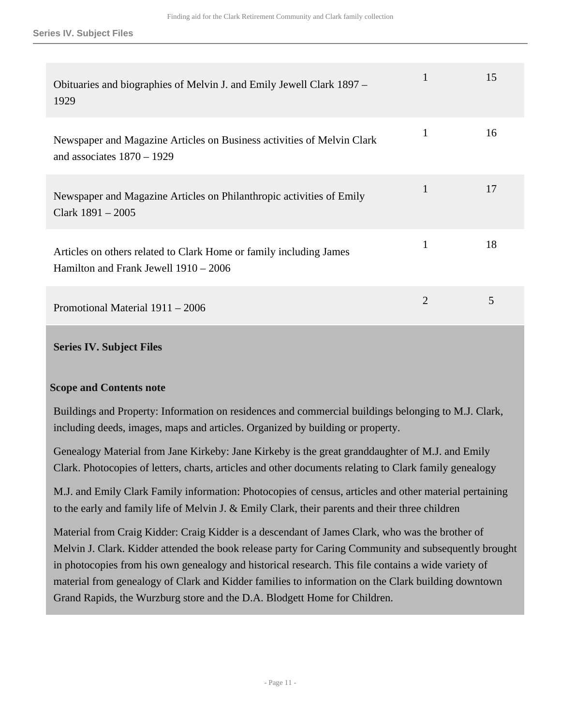| Obituaries and biographies of Melvin J. and Emily Jewell Clark 1897 –<br>1929                               | 1            | 15 |
|-------------------------------------------------------------------------------------------------------------|--------------|----|
| Newspaper and Magazine Articles on Business activities of Melvin Clark<br>and associates $1870 - 1929$      | 1            | 16 |
| Newspaper and Magazine Articles on Philanthropic activities of Emily<br>Clark $1891 - 2005$                 | $\mathbf{1}$ | 17 |
| Articles on others related to Clark Home or family including James<br>Hamilton and Frank Jewell 1910 – 2006 | 1            | 18 |
| Promotional Material 1911 – 2006                                                                            | 2            | 5  |

### <span id="page-10-0"></span>**Series IV. Subject Files**

### **Scope and Contents note**

Buildings and Property: Information on residences and commercial buildings belonging to M.J. Clark, including deeds, images, maps and articles. Organized by building or property.

Genealogy Material from Jane Kirkeby: Jane Kirkeby is the great granddaughter of M.J. and Emily Clark. Photocopies of letters, charts, articles and other documents relating to Clark family genealogy

M.J. and Emily Clark Family information: Photocopies of census, articles and other material pertaining to the early and family life of Melvin J. & Emily Clark, their parents and their three children

Material from Craig Kidder: Craig Kidder is a descendant of James Clark, who was the brother of Melvin J. Clark. Kidder attended the book release party for Caring Community and subsequently brought in photocopies from his own genealogy and historical research. This file contains a wide variety of material from genealogy of Clark and Kidder families to information on the Clark building downtown Grand Rapids, the Wurzburg store and the D.A. Blodgett Home for Children.